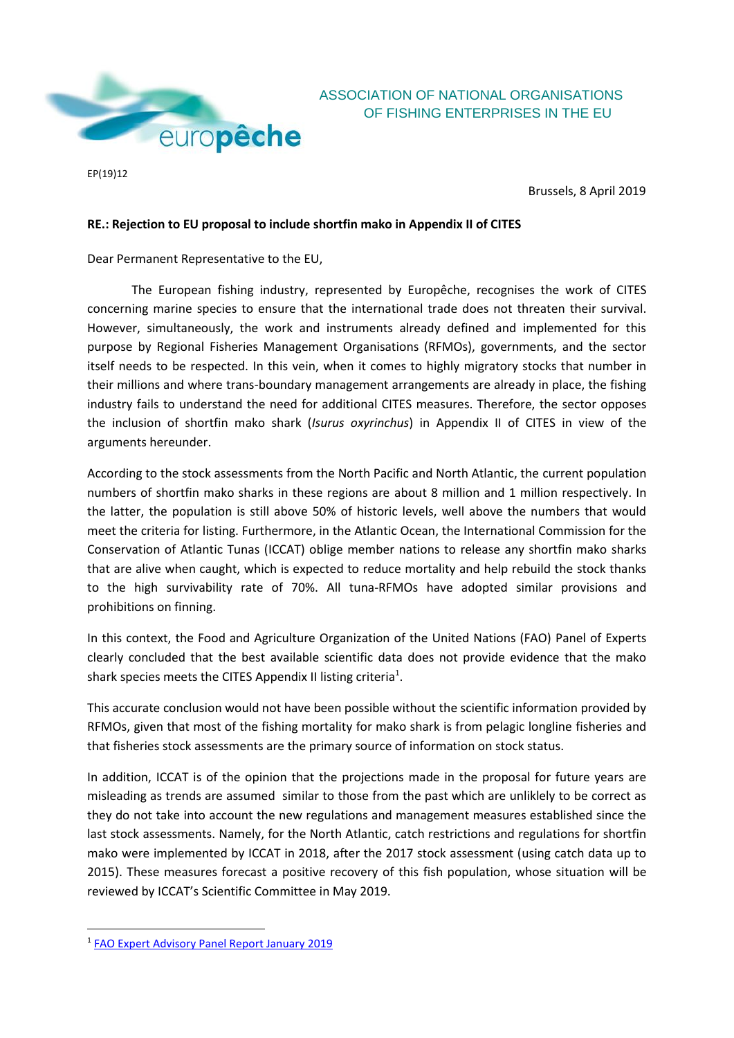

ASSOCIATION OF NATIONAL ORGANISATIONS OF FISHING ENTERPRISES IN THE EU

EP(19)12

Brussels, 8 April 2019

## **RE.: Rejection to EU proposal to include shortfin mako in Appendix II of CITES**

Dear Permanent Representative to the EU,

The European fishing industry, represented by Europêche, recognises the work of CITES concerning marine species to ensure that the international trade does not threaten their survival. However, simultaneously, the work and instruments already defined and implemented for this purpose by Regional Fisheries Management Organisations (RFMOs), governments, and the sector itself needs to be respected. In this vein, when it comes to highly migratory stocks that number in their millions and where trans-boundary management arrangements are already in place, the fishing industry fails to understand the need for additional CITES measures. Therefore, the sector opposes the inclusion of shortfin mako shark (*Isurus oxyrinchus*) in Appendix II of CITES in view of the arguments hereunder.

According to the stock assessments from the North Pacific and North Atlantic, the current population numbers of shortfin mako sharks in these regions are about 8 million and 1 million respectively. In the latter, the population is still above 50% of historic levels, well above the numbers that would meet the criteria for listing. Furthermore, in the Atlantic Ocean, the International Commission for the Conservation of Atlantic Tunas (ICCAT) oblige member nations to release any shortfin mako sharks that are alive when caught, which is expected to reduce mortality and help rebuild the stock thanks to the high survivability rate of 70%. All tuna-RFMOs have adopted similar provisions and prohibitions on finning.

In this context, the Food and Agriculture Organization of the United Nations (FAO) Panel of Experts clearly concluded that the best available scientific data does not provide evidence that the mako shark species meets the CITES Appendix II listing criteria<sup>1</sup>.

This accurate conclusion would not have been possible without the scientific information provided by RFMOs, given that most of the fishing mortality for mako shark is from pelagic longline fisheries and that fisheries stock assessments are the primary source of information on stock status.

In addition, ICCAT is of the opinion that the projections made in the proposal for future years are misleading as trends are assumed similar to those from the past which are unliklely to be correct as they do not take into account the new regulations and management measures established since the last stock assessments. Namely, for the North Atlantic, catch restrictions and regulations for shortfin mako were implemented by ICCAT in 2018, after the 2017 stock assessment (using catch data up to 2015). These measures forecast a positive recovery of this fish population, whose situation will be reviewed by ICCAT's Scientific Committee in May 2019.

**.** 

<sup>&</sup>lt;sup>1</sup> [FAO Expert Advisory Panel Report January 2019](http://www.fao.org/documents/card/en/c/CA3576EN)